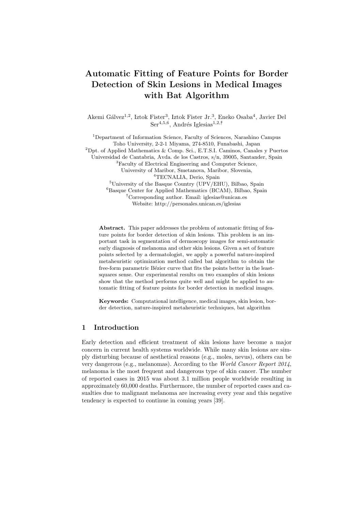# Automatic Fitting of Feature Points for Border Detection of Skin Lesions in Medical Images with Bat Algorithm

Akemi Gálvez<sup>1,2</sup>, Iztok Fister<sup>3</sup>, Iztok Fister Jr.<sup>3</sup>, Eneko Osaba<sup>4</sup>, Javier Del  $\text{Ser}^{4,5,6}$ , Andrés Iglesias<sup>1,2,†</sup>

<sup>1</sup>Department of Information Science, Faculty of Sciences, Narashino Campus Toho University, 2-2-1 Miyama, 274-8510, Funabashi, Japan <sup>2</sup>Dpt. of Applied Mathematics & Comp. Sci., E.T.S.I. Caminos, Canales y Puertos Universidad de Cantabria, Avda. de los Castros, s/n, 39005, Santander, Spain <sup>3</sup>Faculty of Electrical Engineering and Computer Science, University of Maribor, Smetanova, Maribor, Slovenia, <sup>4</sup>TECNALIA, Derio, Spain <sup>5</sup>University of the Basque Country (UPV/EHU), Bilbao, Spain <sup>6</sup>Basque Center for Applied Mathematics (BCAM), Bilbao, Spain : Corresponding author. Email: iglesias@unican.es Website: http://personales.unican.es/iglesias

Abstract. This paper addresses the problem of automatic fitting of feature points for border detection of skin lesions. This problem is an important task in segmentation of dermoscopy images for semi-automatic early diagnosis of melanoma and other skin lesions. Given a set of feature points selected by a dermatologist, we apply a powerful nature-inspired metaheuristic optimization method called bat algorithm to obtain the free-form parametric Bézier curve that fits the points better in the leastsquares sense. Our experimental results on two examples of skin lesions show that the method performs quite well and might be applied to automatic fitting of feature points for border detection in medical images.

Keywords: Computational intelligence, medical images, skin lesion, border detection, nature-inspired metaheuristic techniques, bat algorithm

## 1 Introduction

Early detection and efficient treatment of skin lesions have become a major concern in current health systems worldwide. While many skin lesions are simply disturbing because of aesthetical reasons (e.g., moles, nevus), others can be very dangerous (e.g., melanomas). According to the World Cancer Report 2014, melanoma is the most frequent and dangerous type of skin cancer. The number of reported cases in 2015 was about 3.1 million people worldwide resulting in approximately 60,000 deaths. Furthermore, the number of reported cases and casualties due to malignant melanoma are increasing every year and this negative tendency is expected to continue in coming years [39].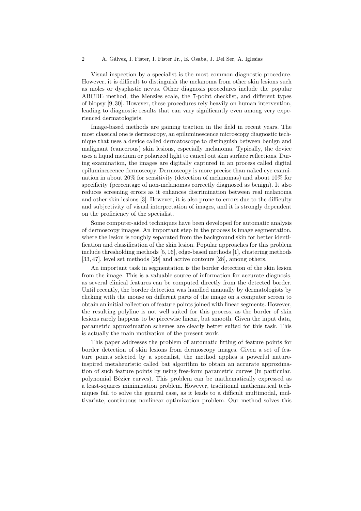Visual inspection by a specialist is the most common diagnostic procedure. However, it is difficult to distinguish the melanoma from other skin lesions such as moles or dysplastic nevus. Other diagnosis procedures include the popular ABCDE method, the Menzies scale, the 7-point checklist, and different types of biopsy [9, 30]. However, these procedures rely heavily on human intervention, leading to diagnostic results that can vary significantly even among very experienced dermatologists.

Image-based methods are gaining traction in the field in recent years. The most classical one is dermoscopy, an epiluminescence microscopy diagnostic technique that uses a device called dermatoscope to distinguish between benign and malignant (cancerous) skin lesions, especially melanoma. Typically, the device uses a liquid medium or polarized light to cancel out skin surface reflections. During examination, the images are digitally captured in an process called digital epiluminescence dermoscopy. Dermoscopy is more precise than naked eye examination in about 20% for sensitivity (detection of melanomas) and about 10% for specificity (percentage of non-melanomas correctly diagnosed as benign). It also reduces screening errors as it enhances discrimination between real melanoma and other skin lesions [3]. However, it is also prone to errors due to the difficulty and subjectivity of visual interpretation of images, and it is strongly dependent on the proficiency of the specialist.

Some computer-aided techniques have been developed for automatic analysis of dermoscopy images. An important step in the process is image segmentation, where the lesion is roughly separated from the background skin for better identification and classification of the skin lesion. Popular approaches for this problem include thresholding methods [5, 16], edge-based methods [1], clustering methods [33, 47], level set methods [29] and active contours [28], among others.

An important task in segmentation is the border detection of the skin lesion from the image. This is a valuable source of information for accurate diagnosis, as several clinical features can be computed directly from the detected border. Until recently, the border detection was handled manually by dermatologists by clicking with the mouse on different parts of the image on a computer screen to obtain an initial collection of feature points joined with linear segments. However, the resulting polyline is not well suited for this process, as the border of skin lesions rarely happens to be piecewise linear, but smooth. Given the input data, parametric approximation schemes are clearly better suited for this task. This is actually the main motivation of the present work.

This paper addresses the problem of automatic fitting of feature points for border detection of skin lesions from dermoscopy images. Given a set of feature points selected by a specialist, the method applies a powerful natureinspired metaheuristic called bat algorithm to obtain an accurate approximation of such feature points by using free-form parametric curves (in particular, polynomial Bézier curves). This problem can be mathematically expressed as a least-squares minimization problem. However, traditional mathematical techniques fail to solve the general case, as it leads to a difficult multimodal, multivariate, continuous nonlinear optimization problem. Our method solves this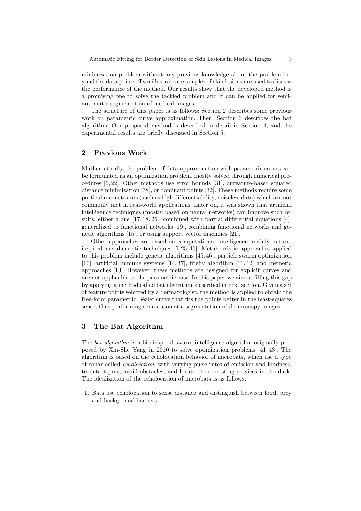minimization problem without any previous knowledge about the problem beyond the data points. Two illustrative examples of skin lesions are used to discuss the performance of the method. Our results show that the developed method is a promising one to solve the tackled problem and it can be applied for semiautomatic segmentation of medical images.

The structure of this paper is as follows: Section 2 describes some previous work on parametric curve approximation. Then, Section 3 describes the bat algorithm. Our proposed method is described in detail in Section 4, and the experimental results are briefly discussed in Section 5.

#### 2 Previous Work

Mathematically, the problem of data approximation with parametric curves can be formulated as an optimization problem, mostly solved through numerical procedures [6, 22]. Other methods use error bounds [31], curvature-based squared distance minimization [38], or dominant points [32]. These methods require some particular constraints (such as high differentiability, noiseless data) which are not commonly met in real-world applications. Later on, it was shown that artificial intelligence techniques (mostly based on neural networks) can improve such results, either alone [17, 18, 26], combined with partial differential equations [4], generalized to functional networks [19], combining functional networks and genetic algorithms [15], or using support vector machines [21].

Other approaches are based on computational intelligence, mainly natureinspired metaheuristic techniques [?,25, 40]. Metaheuristic approaches applied to this problem include genetic algorithms [45, 46], particle swarm optimization [10], artificial immune systems [14, 37], firefly algorithm [11, 12] and memetic approaches [13]. However, these methods are designed for explicit curves and are not applicable to the parametric case. In this paper we aim at filling this gap by applying a method called bat algorithm, described in next section. Given a set of feature points selected by a dermatologist, the method is applied to obtain the free-form parametric Bézier curve that fits the points better in the least-squares sense, thus performing semi-automatic segmentation of dermoscopy images.

# 3 The Bat Algorithm

The *bat algorithm* is a bio-inspired swarm intelligence algorithm originally proposed by Xin-She Yang in 2010 to solve optimization problems [41–43]. The algorithm is based on the echolocation behavior of microbats, which use a type of sonar called echolocation, with varying pulse rates of emission and loudness, to detect prey, avoid obstacles, and locate their roosting crevices in the dark. The idealization of the echolocation of microbats is as follows:

1. Bats use echolocation to sense distance and distinguish between food, prey and background barriers.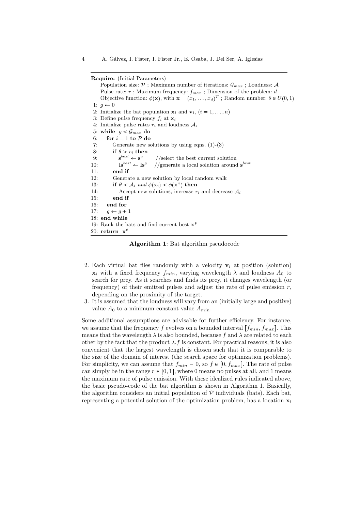Require: (Initial Parameters)

Population size:  $P$  ; Maximum number of iterations:  $\mathcal{G}_{max}$  ; Loudness: A Pulse rate:  $r$ ; Maximum frequency:  $f_{max}$ ; Dimension of the problem:  $d$ Objective function:  $\phi(\mathbf{x})$ , with  $\mathbf{x} = (x_1, \dots, x_d)^T$ ; Random number:  $\theta \in U(0, 1)$ 1:  $q \leftarrow 0$ 2: Initialize the bat population  $\mathbf{x}_i$  and  $\mathbf{v}_i$ ,  $(i = 1, \ldots, n)$ 3: Define pulse frequency  $f_i$  at  $\mathbf{x}_i$ 4: Initialize pulse rates  $r_i$  and loudness  $A_i$ 5: while  $g < \mathcal{G}_{max}$  do 6: for  $i = 1$  to  $P$  do 7: Generate new solutions by using eqns.  $(1)-(3)$ 8: if  $\theta > r_i$  then  $9:$  $e^{best} \leftarrow s^g$ //select the best current solution 10:  $\qquad \qquad \mathbf{ls}^{best} \leftarrow \mathbf{ls}^g$ //generate a local solution around  $\mathbf{s}^{best}$ 11: end if 12: Generate a new solution by local random walk 13: **if**  $\theta < A_i$  and  $\phi(\mathbf{x_i}) < \phi(\mathbf{x^*})$  then 14: Accept new solutions, increase  $r_i$  and decrease  $A_i$ 15: end if 16: end for 17:  $g \leftarrow g + 1$ 18: end while 19: Rank the bats and find current best  $x^*$ 20: return  $x^*$ 

Algorithm 1: Bat algorithm pseudocode

- 2. Each virtual bat flies randomly with a velocity  $v_i$  at position (solution)  $\mathbf{x}_i$  with a fixed frequency  $f_{min}$ , varying wavelength  $\lambda$  and loudness  $A_0$  to search for prey. As it searches and finds its prey, it changes wavelength (or frequency) of their emitted pulses and adjust the rate of pulse emission  $r$ , depending on the proximity of the target.
- 3. It is assumed that the loudness will vary from an (initially large and positive) value  $A_0$  to a minimum constant value  $A_{min}$ .

Some additional assumptions are advisable for further efficiency. For instance, we assume that the frequency f evolves on a bounded interval  $[f_{min}, f_{max}]$ . This means that the wavelength  $\lambda$  is also bounded, because f and  $\lambda$  are related to each other by the fact that the product  $\lambda$ . f is constant. For practical reasons, it is also convenient that the largest wavelength is chosen such that it is comparable to the size of the domain of interest (the search space for optimization problems). For simplicity, we can assume that  $f_{min} = 0$ , so  $f \in [0, f_{max}]$ . The rate of pulse can simply be in the range  $r \in [0, 1]$ , where 0 means no pulses at all, and 1 means the maximum rate of pulse emission. With these idealized rules indicated above, the basic pseudo-code of the bat algorithm is shown in Algorithm 1. Basically, the algorithm considers an initial population of  $P$  individuals (bats). Each bat, representing a potential solution of the optimization problem, has a location  $x_i$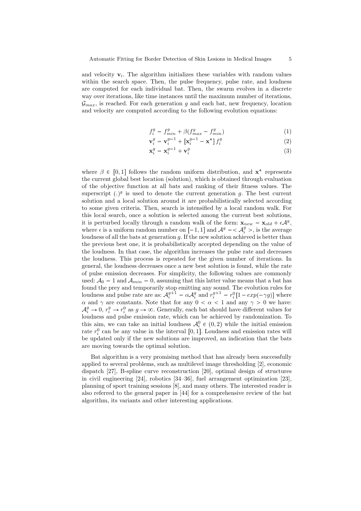and velocity  $v_i$ . The algorithm initializes these variables with random values within the search space. Then, the pulse frequency, pulse rate, and loudness are computed for each individual bat. Then, the swarm evolves in a discrete way over iterations, like time instances until the maximum number of iterations,  $\mathcal{G}_{max}$ , is reached. For each generation q and each bat, new frequency, location and velocity are computed according to the following evolution equations:

$$
f_i^g = f_{min}^g + \beta (f_{max}^g - f_{min}^g) \tag{1}
$$

$$
\mathbf{v}_i^g = \mathbf{v}_i^{g-1} + \left[\mathbf{x}_i^{g-1} - \mathbf{x}^*\right] f_i^g \tag{2}
$$

$$
\mathbf{x}_i^g = \mathbf{x}_i^{g-1} + \mathbf{v}_i^g \tag{3}
$$

where  $\beta \in [0,1]$  follows the random uniform distribution, and  $\mathbf{x}^*$  represents the current global best location (solution), which is obtained through evaluation of the objective function at all bats and ranking of their fitness values. The superscript  $(.)^g$  is used to denote the current generation g. The best current solution and a local solution around it are probabilistically selected according to some given criteria. Then, search is intensified by a local random walk. For this local search, once a solution is selected among the current best solutions, it is perturbed locally through a random walk of the form:  $\mathbf{x}_{new} = \mathbf{x}_{old} + \epsilon \mathcal{A}^g$ , where  $\epsilon$  is a uniform random number on  $[-1, 1]$  and  $\mathcal{A}^g = \langle \mathcal{A}^g_i \rangle$ , is the average loudness of all the bats at generation  $q$ . If the new solution achieved is better than the previous best one, it is probabilistically accepted depending on the value of the loudness. In that case, the algorithm increases the pulse rate and decreases the loudness. This process is repeated for the given number of iterations. In general, the loudness decreases once a new best solution is found, while the rate of pulse emission decreases. For simplicity, the following values are commonly used:  $A_0 = 1$  and  $A_{min} = 0$ , assuming that this latter value means that a bat has found the prey and temporarily stop emitting any sound. The evolution rules for loudness and pulse rate are as:  $A_i^{g+1} = \alpha A_i^g$  and  $r_i^{g+1} = r_i^0[1 - exp(-\gamma g)]$  where  $\alpha$  and  $\gamma$  are constants. Note that for any  $0 < \alpha < 1$  and any  $\gamma > 0$  we have:  $\mathcal{A}_i^g \to 0, r_i^g \to r_i^0$  as  $g \to \infty$ . Generally, each bat should have different values for loudness and pulse emission rate, which can be achieved by randomization. To this aim, we can take an initial loudness  $\mathcal{A}_{i}^{0} \in (0, 2)$  while the initial emission rate  $r_i^0$  can be any value in the interval  $[0, 1]$ . Loudness and emission rates will be updated only if the new solutions are improved, an indication that the bats are moving towards the optimal solution.

Bat algorithm is a very promising method that has already been successfully applied to several problems, such as multilevel image thresholding [2], economic dispatch [27], B-spline curve reconstruction [20], optimal design of structures in civil engineering [24], robotics [34–36], fuel arrangement optimization [23], planning of sport training sessions [8], and many others. The interested reader is also referred to the general paper in [44] for a comprehensive review of the bat algorithm, its variants and other interesting applications.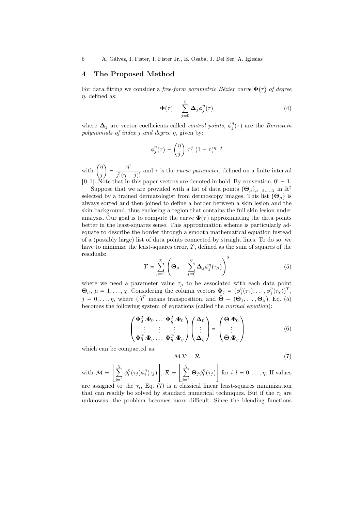# 4 The Proposed Method

For data fitting we consider a free-form parametric Bézier curve  $\Phi(\tau)$  of degree  $\eta$ , defined as:

$$
\Phi(\tau) = \sum_{j=0}^{\eta} \Delta_j \phi_j^{\eta}(\tau)
$$
\n(4)

where  $\Delta_j$  are vector coefficients called *control points*,  $\phi_j^{\eta}(\tau)$  are the *Bernstein* polynomials of index j and degree  $\eta$ , given by:

$$
\phi_j^{\eta}(\tau) = \binom{\eta}{j} \tau^j (1 - \tau)^{\eta - j}
$$

with  $\int_{0}^{\eta}$ j  $=\frac{\eta!}{\eta!}$  $\frac{\partial}{\partial i}$  and  $\tau$  is the *curve parameter*, defined on a finite interval [0, 1]. Note that in this paper vectors are denoted in bold. By convention,  $0! = 1$ .

Suppose that we are provided with a list of data points  ${\{\Theta_\mu\}}_{\mu=1,\dots,\chi}$  in  $\mathbb{R}^2$ selected by a trained dermatologist from dermoscopy images. This list  $\{\Theta_{\mu}\}\$ is always sorted and then joined to define a border between a skin lesion and the skin background, thus enclosing a region that contains the full skin lesion under analysis. Our goal is to compute the curve  $\mathbf{\Phi}(\tau)$  approximating the data points better in the least-squares sense. This approximation scheme is particularly adequate to describe the border through a smooth mathematical equation instead of a (possibly large) list of data points connected by straight lines. To do so, we have to minimize the least-squares error,  $\gamma$ , defined as the sum of squares of the residuals:

$$
\Upsilon = \sum_{\mu=1}^{\chi} \left( \mathbf{\Theta}_{\mu} - \sum_{j=0}^{\eta} \mathbf{\Delta}_{j} \phi_{j}^{\eta}(\tau_{\mu}) \right)^{2} \tag{5}
$$

where we need a parameter value  $\tau_{\mu}$  to be associated with each data point  $\mathbf{\Theta}_{\mu}, \mu = 1, \ldots, \chi$ . Considering the column vectors  $\mathbf{\Phi}_j = (\phi_j^{\eta}(\tau_1), \ldots, \phi_j^{\eta}(\tau_{\chi}))^T$ ,  $j = 0, \ldots, \eta$ , where  $(.)^T$  means transposition, and  $\bar{\mathbf{\Theta}} = (\dot{\mathbf{\Theta}_1}, \ldots, \mathbf{\Theta}_{\chi}),$  Eq. (5) becomes the following system of equations (called the normal equation):

$$
\begin{pmatrix}\n\boldsymbol{\Phi}_0^T \cdot \boldsymbol{\Phi}_0 \dots \boldsymbol{\Phi}_\eta^T \cdot \boldsymbol{\Phi}_0 \\
\vdots \quad \vdots \quad \vdots \\
\boldsymbol{\Phi}_0^T \cdot \boldsymbol{\Phi}_\eta \dots \boldsymbol{\Phi}_\eta^T \cdot \boldsymbol{\Phi}_\eta\n\end{pmatrix}\n\begin{pmatrix}\n\boldsymbol{\Delta}_0 \\
\vdots \\
\boldsymbol{\Delta}_\eta\n\end{pmatrix} = \begin{pmatrix}\n\bar{\boldsymbol{\Theta}} \cdot \boldsymbol{\Phi}_0 \\
\vdots \\
\bar{\boldsymbol{\Theta}} \cdot \boldsymbol{\Phi}_\eta\n\end{pmatrix}
$$
\n(6)

which can be compacted as:

$$
M D = R \tag{7}
$$

with  $\mathcal{M} =$  $\lceil x \rceil$  $\overline{j=1}$  $\phi_l^{\eta}(\tau_j)\phi_i^{\eta}(\tau_j)$ -,  $\mathcal{R} =$  $\lceil x \rceil$  $\overline{j=1}$  $\Theta_j \phi_l^{\eta}(\tau_j)$ for  $i, l = 0, \ldots, \eta$ . If values

are assigned to the  $\tau_i$ , Eq. (7) is a classical linear least-squares minimization that can readily be solved by standard numerical techniques. But if the  $\tau_i$  are unknowns, the problem becomes more difficult. Since the blending functions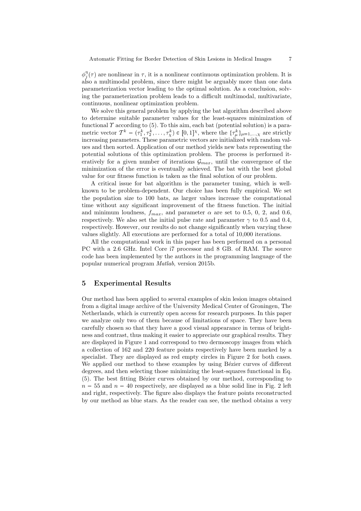$\phi_j^{\eta}(\tau)$  are nonlinear in  $\tau$ , it is a nonlinear continuous optimization problem. It is also a multimodal problem, since there might be arguably more than one data parameterization vector leading to the optimal solution. As a conclusion, solving the parameterization problem leads to a difficult multimodal, multivariate, continuous, nonlinear optimization problem.

We solve this general problem by applying the bat algorithm described above to determine suitable parameter values for the least-squares minimization of functional  $\gamma$  according to (5). To this aim, each bat (potential solution) is a parametric vector  $\mathcal{T}^k = (\tau_1^k, \tau_2^k, \dots, \tau_\chi^k) \in [0, 1]^\chi$ , where the  $\{\tau_\mu^k\}_{\mu=1,\dots,\chi}$  are strictly increasing parameters. These parametric vectors are initialized with random values and then sorted. Application of our method yields new bats representing the potential solutions of this optimization problem. The process is performed iteratively for a given number of iterations  $\mathcal{G}_{max}$ , until the convergence of the minimization of the error is eventually achieved. The bat with the best global value for our fitness function is taken as the final solution of our problem.

A critical issue for bat algorithm is the parameter tuning, which is wellknown to be problem-dependent. Our choice has been fully empirical. We set the population size to 100 bats, as larger values increase the computational time without any significant improvement of the fitness function. The initial and minimum loudness,  $f_{max}$ , and parameter  $\alpha$  are set to 0.5, 0, 2, and 0.6, respectively. We also set the initial pulse rate and parameter  $\gamma$  to 0.5 and 0.4, respectively. However, our results do not change significantly when varying these values slightly. All executions are performed for a total of 10,000 iterations.

All the computational work in this paper has been performed on a personal PC with a 2.6 GHz. Intel Core i7 processor and 8 GB. of RAM. The source code has been implemented by the authors in the programming language of the popular numerical program Matlab, version 2015b.

# 5 Experimental Results

Our method has been applied to several examples of skin lesion images obtained from a digital image archive of the University Medical Center of Groningen, The Netherlands, which is currently open access for research purposes. In this paper we analyze only two of them because of limitations of space. They have been carefully chosen so that they have a good visual appearance in terms of brightness and contrast, thus making it easier to appreciate our graphical results. They are displayed in Figure 1 and correspond to two dermoscopy images from which a collection of 162 and 220 feature points respectively have been marked by a specialist. They are displayed as red empty circles in Figure 2 for both cases. We applied our method to these examples by using Bézier curves of different degrees, and then selecting those minimizing the least-squares functional in Eq. (5). The best fitting Bézier curves obtained by our method, corresponding to  $n = 55$  and  $n = 40$  respectively, are displayed as a blue solid line in Fig. 2 left and right, respectively. The figure also displays the feature points reconstructed by our method as blue stars. As the reader can see, the method obtains a very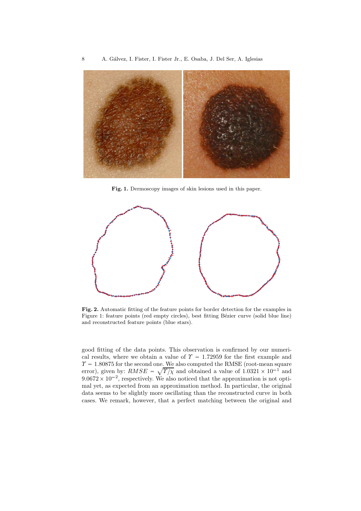

Fig. 1. Dermoscopy images of skin lesions used in this paper.



Fig. 2. Automatic fitting of the feature points for border detection for the examples in Figure 1: feature points (red empty circles), best fitting Bézier curve (solid blue line) and reconstructed feature points (blue stars).

good fitting of the data points. This observation is confirmed by our numerical results, where we obtain a value of  $\Upsilon = 1.72959$  for the first example and  $\Upsilon = 1.80875$  for the second one. We also computed the RMSE (root-mean square error), given by:  $RMSE = \sqrt{\frac{\gamma}{\chi}}$  and obtained a value of  $1.0321 \times 10^{-1}$  and  $9.0672 \times 10^{-2}$ , respectively. We also noticed that the approximation is not optimal yet, as expected from an approximation method. In particular, the original data seems to be slightly more oscillating than the reconstructed curve in both cases. We remark, however, that a perfect matching between the original and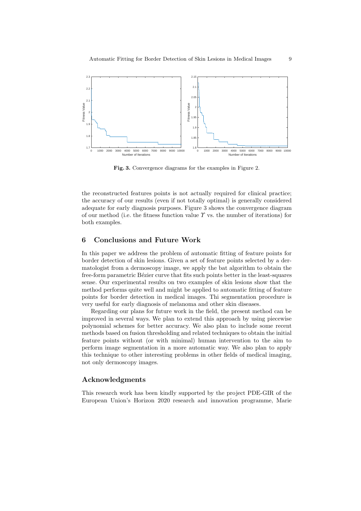

Fig. 3. Convergence diagrams for the examples in Figure 2.

the reconstructed features points is not actually required for clinical practice; the accuracy of our results (even if not totally optimal) is generally considered adequate for early diagnosis purposes. Figure 3 shows the convergence diagram of our method (i.e. the fitness function value  $\gamma$  vs. the number of iterations) for both examples.

#### 6 Conclusions and Future Work

In this paper we address the problem of automatic fitting of feature points for border detection of skin lesions. Given a set of feature points selected by a dermatologist from a dermoscopy image, we apply the bat algorithm to obtain the free-form parametric Bézier curve that fits such points better in the least-squares sense. Our experimental results on two examples of skin lesions show that the method performs quite well and might be applied to automatic fitting of feature points for border detection in medical images. Thi segmentation procedure is very useful for early diagnosis of melanoma and other skin diseases.

Regarding our plans for future work in the field, the present method can be improved in several ways. We plan to extend this approach by using piecewise polynomial schemes for better accuracy. We also plan to include some recent methods based on fusion thresholding and related techniques to obtain the initial feature points without (or with minimal) human intervention to the aim to perform image segmentation in a more automatic way. We also plan to apply this technique to other interesting problems in other fields of medical imaging, not only dermoscopy images.

# Acknowledgments

This research work has been kindly supported by the project PDE-GIR of the European Union's Horizon 2020 research and innovation programme, Marie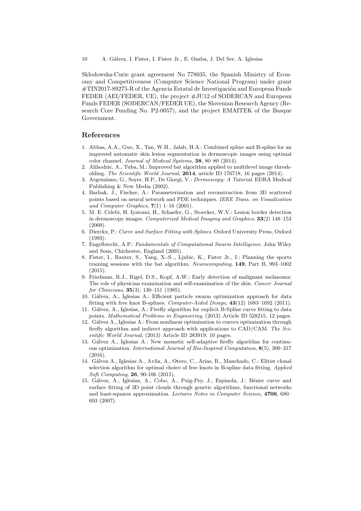Sklodowska-Curie grant agreement No 778035, the Spanish Ministry of Economy and Competitiveness (Computer Science National Program) under grant #TIN2017-89275-R of the Agencia Estatal de Investigación and European Funds FEDER (AEI/FEDER, UE), the project  $\#JU12$  of SODERCAN and European Funds FEDER (SODERCAN/FEDER UE), the Slovenian Research Agency (Research Core Funding No. P2-0057), and the project EMAITEK of the Basque Government.

## References

- 1. Abbas, A.A., Guo, X., Tan, W.H., Jalab, H.A.: Combined spline and B-spline for an improved automatic skin lesion segmentation in dermoscopic images using optimal color channel. *Journal of Medical Systems*, 38, 80–80 (2014).
- 2. Alihodzic, A., Tuba, M.: Improved bat algorithm applied to multilevel image thresholding. *The Scientific World Journal*, 2014, article ID 176718, 16 pages (2014).
- 3. Argenziano, G., Soyer, H.P., De Giorgi, V.: *Dermoscopy: A Tutorial*. EDRA Medical Publishing & New Media (2002).
- 4. Barhak, J., Fischer, A.: Parameterization and reconstruction from 3D scattered points based on neural network and PDE techniques. *IEEE Trans. on Visualization and Computer Graphics*, 7(1) 1–16 (2001).
- 5. M. E. Celebi, H. Iyatomi, H., Schaefer, G., Stoecker, W.V.: Lesion border detection in dermoscopy images. *Computerized Medical Imaging and Graphics*, 33(2) 148–153  $(2009)$
- 6. Dierckx, P.: *Curve and Surface Fitting with Splines*. Oxford University Press, Oxford (1993).
- 7. Engelbrecht, A.P.: *Fundamentals of Computational Swarm Intelligence*. John Wiley and Sons, Chichester, England (2005).
- 8. Fister, I., Rauter, S., Yang, X.-S.., Ljubic, K., Fister Jr., I.: Planning the sports training sessions with the bat algorithm. *Neurocomputing*, 149, Part B, 993–1002  $(2015)$ .
- 9. Friedman, R.J., Rigel, D.S., Kopf, A.W.: Early detection of malignant melanoma: The role of physician examination and self-examination of the skin. *Cancer Journal for Clinicians*, 35(3), 130–151 (1985).
- 10. G´alvez, A., Iglesias A.: Efficient particle swarm optimization approach for data fitting with free knot B-splines. *Computer-Aided Design*, 43(12) 1683–1692 (2011).
- 11. G´alvez, A., Iglesias, A.: Firefly algorithm for explicit B-Spline curve fitting to data points. *Mathematical Problems in Engineering*, (2013) Article ID 528215, 12 pages.
- 12. G´alvez A., Iglesias A.: From nonlinear optimization to convex optimization through firefly algorithm and indirect approach with applications to CAD/CAM. *The Scientific World Journal*, (2013) Article ID 283919, 10 pages.
- 13. Gálvez A., Iglesias A.: New memetic self-adaptive firefly algorithm for continuous optimization. *International Journal of Bio-Inspired Computation*, 8(5), 300–317 (2016).
- 14. G´alvez A., Iglesias A., Avila, A., Otero, C., Arias, R., Manchado, C.: Elitist clonal selection algorithm for optimal choice of free knots in B-spline data fitting. *Applied Soft Computing*, 26, 90-106 (2015).
- 15. Gálvez, A., Iglesias, A., Cobo, A., Puig-Pey, J., Espinola, J.: Bézier curve and surface fitting of 3D point clouds through genetic algorithms, functional networks and least-squares approximation. *Lectures Notes in Computer Science*, 4706, 680– 693 (2007).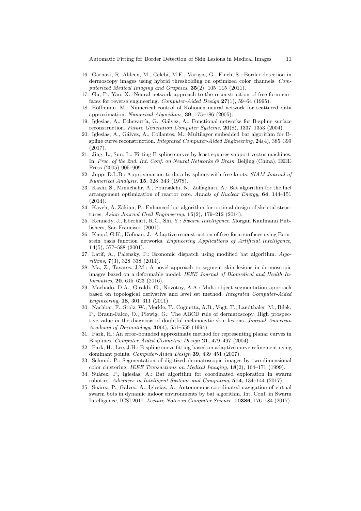Automatic Fitting for Border Detection of Skin Lesions in Medical Images 11

- 16. Garnavi, R. Aldeen, M., Celebi, M.E., Varigos, G., Finch, S.: Border detection in dermoscopy images using hybrid thresholding on optimized color channels. *Computerized Medical Imaging and Graphics*, 35(2), 105–115 (2011).
- 17. Gu, P., Yan, X.: Neural network approach to the reconstruction of free-form surfaces for reverse engineering. *Computer-Aided Design* 27(1), 59–64 (1995).
- 18. Hoffmann, M.: Numerical control of Kohonen neural network for scattered data approximation. *Numerical Algorithms*, 39, 175–186 (2005).
- 19. Iglesias, A., Echevarría, G., Gálvez, A.: Functional networks for B-spline surface reconstruction. *Future Generation Computer Systems*, 20(8), 1337–1353 (2004).
- 20. Iglesias, A., G´alvez, A., Collantes, M.: Multilayer embedded bat algorithm for Bspline curve reconstruction. *Integrated Computer-Aided Engineering*, 24(4), 385–399 (2017).
- 21. Jing, L., Sun, L.: Fitting B-spline curves by least squares support vector machines. In: *Proc. of the 2nd. Int. Conf. on Neural Networks & Brain*. Beijing (China). IEEE Press (2005) 905–909.
- 22. Jupp, D.L.B.: Approximation to data by splines with free knots. *SIAM Journal of Numerical Analysis*, 15, 328–343 (1978).
- 23. Kashi, S., Minuchehr, A., Poursalehi, N., Zolfaghari, A.: Bat algorithm for the fuel arrangement optimization of reactor core. *Annals of Nuclear Energy*, 64, 144–151 (2014).
- 24. Kaveh, A.,Zakian, P.: Enhanced bat algorithm for optimal design of skeletal structures. *Asian Journal Civil Engineering*, 15(2), 179–212 (2014).
- 25. Kennedy, J., Eberhart, R.C., Shi, Y.: *Swarm Intelligence*. Morgan Kaufmann Publishers, San Francisco (2001).
- 26. Knopf, G.K., Kofman, J.: Adaptive reconstruction of free-form surfaces using Bernstein basis function networks. *Engineering Applications of Artificial Intelligence*, 14(5), 577–588 (2001).
- 27. Latif, A., Palensky, P.: Economic dispatch using modified bat algorithm. *Algorithms*, 7(3), 328–338 (2014).
- 28. Ma, Z., Tavares, J.M.: A novel approach to segment skin lesions in dermoscopic images based on a deformable model. *IEEE Journal of Biomedical and Health Informatics*, 20, 615–623 (2016).
- 29. Machado, D.A., Giraldi, G., Novotny, A.A.: Multi-object segmentation approach based on topological derivative and level set method. *Integrated Computer-Aided Engineering*, 18, 301–311 (2011).
- 30. Nachbar, F., Stolz, W., Merkle, T., Cognetta, A.B., Vogt, T., Landthaler, M., Bilek, P., Braun-Falco, O., Plewig, G.: The ABCD rule of dermatoscopy. High prospective value in the diagnosis of doubtful melanocytic skin lesions. *Journal American Academy of Dermatology*, 30(4), 551–559 (1994).
- 31. Park, H.: An error-bounded approximate method for representing planar curves in B-splines. *Computer Aided Geometric Design* 21, 479–497 (2004).
- 32. Park, H., Lee, J.H.: B-spline curve fitting based on adaptive curve refinement using dominant points. *Computer-Aided Design* 39, 439–451 (2007).
- 33. Schmid, P.: Segmentation of digitized dermatoscopic images by two-dimensional color clustering. *IEEE Transactions on Medical Imaging*, 18(2), 164–171 (1999).
- 34. Suárez, P., Iglesias, A.: Bat algorithm for coordinated exploration in swarm robotics. *Advances in Intelligent Systems and Computing*, 514, 134–144 (2017).
- 35. Suárez, P., Gálvez, A., Iglesias, A.: Autonomous coordinated navigation of virtual swarm bots in dynamic indoor environments by bat algorithm. Int. Conf. in Swarm Intelligence, ICSI 2017. *Lecture Notes in Computer Science*, 10386, 176–184 (2017).